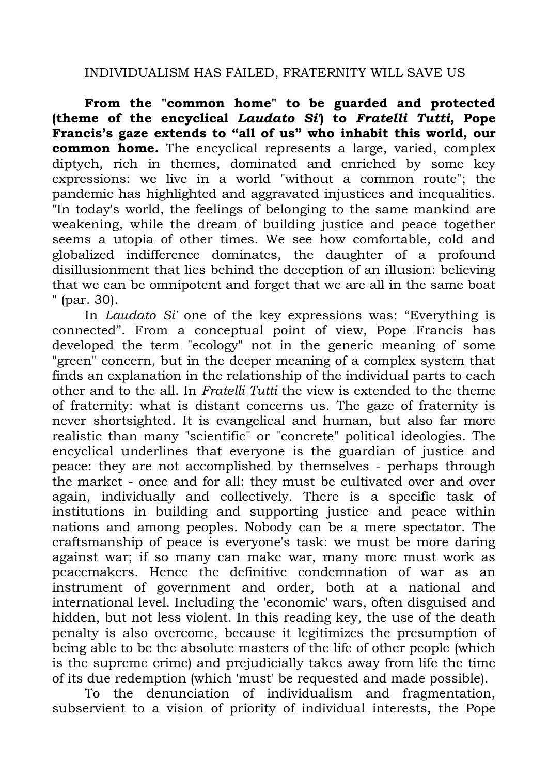## INDIVIDUALISM HAS FAILED, FRATERNITY WILL SAVE US

**From the "common home" to be guarded and protected (theme of the encyclical** *Laudato Si'***) to** *Fratelli Tutti***, Pope Francis's gaze extends to "all of us" who inhabit this world, our common home.** The encyclical represents a large, varied, complex diptych, rich in themes, dominated and enriched by some key expressions: we live in a world "without a common route"; the pandemic has highlighted and aggravated injustices and inequalities. "In today's world, the feelings of belonging to the same mankind are weakening, while the dream of building justice and peace together seems a utopia of other times. We see how comfortable, cold and globalized indifference dominates, the daughter of a profound disillusionment that lies behind the deception of an illusion: believing that we can be omnipotent and forget that we are all in the same boat " (par. 30).

In *Laudato Si'* one of the key expressions was: "Everything is connected". From a conceptual point of view, Pope Francis has developed the term "ecology" not in the generic meaning of some "green" concern, but in the deeper meaning of a complex system that finds an explanation in the relationship of the individual parts to each other and to the all. In *Fratelli Tutti* the view is extended to the theme of fraternity: what is distant concerns us. The gaze of fraternity is never shortsighted. It is evangelical and human, but also far more realistic than many "scientific" or "concrete" political ideologies. The encyclical underlines that everyone is the guardian of justice and peace: they are not accomplished by themselves - perhaps through the market - once and for all: they must be cultivated over and over again, individually and collectively. There is a specific task of institutions in building and supporting justice and peace within nations and among peoples. Nobody can be a mere spectator. The craftsmanship of peace is everyone's task: we must be more daring against war; if so many can make war, many more must work as peacemakers. Hence the definitive condemnation of war as an instrument of government and order, both at a national and international level. Including the 'economic' wars, often disguised and hidden, but not less violent. In this reading key, the use of the death penalty is also overcome, because it legitimizes the presumption of being able to be the absolute masters of the life of other people (which is the supreme crime) and prejudicially takes away from life the time of its due redemption (which 'must' be requested and made possible).

To the denunciation of individualism and fragmentation, subservient to a vision of priority of individual interests, the Pope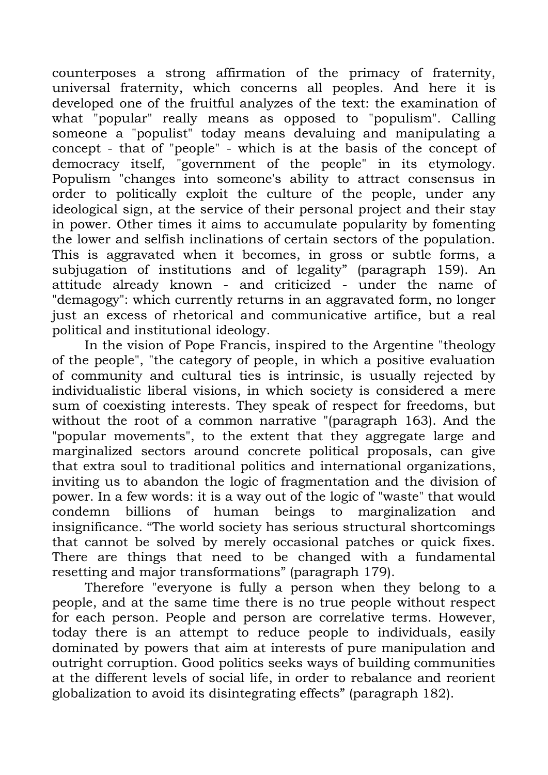counterposes a strong affirmation of the primacy of fraternity, universal fraternity, which concerns all peoples. And here it is developed one of the fruitful analyzes of the text: the examination of what "popular" really means as opposed to "populism". Calling someone a "populist" today means devaluing and manipulating a concept - that of "people" - which is at the basis of the concept of democracy itself, "government of the people" in its etymology. Populism "changes into someone's ability to attract consensus in order to politically exploit the culture of the people, under any ideological sign, at the service of their personal project and their stay in power. Other times it aims to accumulate popularity by fomenting the lower and selfish inclinations of certain sectors of the population. This is aggravated when it becomes, in gross or subtle forms, a subjugation of institutions and of legality" (paragraph 159). An attitude already known - and criticized - under the name of "demagogy": which currently returns in an aggravated form, no longer just an excess of rhetorical and communicative artifice, but a real political and institutional ideology.

In the vision of Pope Francis, inspired to the Argentine "theology of the people", "the category of people, in which a positive evaluation of community and cultural ties is intrinsic, is usually rejected by individualistic liberal visions, in which society is considered a mere sum of coexisting interests. They speak of respect for freedoms, but without the root of a common narrative "(paragraph 163). And the "popular movements", to the extent that they aggregate large and marginalized sectors around concrete political proposals, can give that extra soul to traditional politics and international organizations, inviting us to abandon the logic of fragmentation and the division of power. In a few words: it is a way out of the logic of "waste" that would condemn billions of human beings to marginalization and insignificance. "The world society has serious structural shortcomings that cannot be solved by merely occasional patches or quick fixes. There are things that need to be changed with a fundamental resetting and major transformations" (paragraph 179).

Therefore "everyone is fully a person when they belong to a people, and at the same time there is no true people without respect for each person. People and person are correlative terms. However, today there is an attempt to reduce people to individuals, easily dominated by powers that aim at interests of pure manipulation and outright corruption. Good politics seeks ways of building communities at the different levels of social life, in order to rebalance and reorient globalization to avoid its disintegrating effects" (paragraph 182).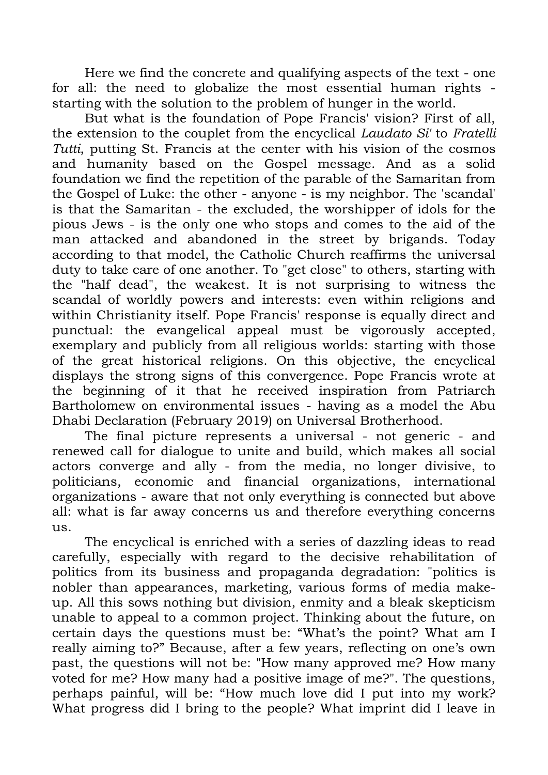Here we find the concrete and qualifying aspects of the text - one for all: the need to globalize the most essential human rights starting with the solution to the problem of hunger in the world.

But what is the foundation of Pope Francis' vision? First of all, the extension to the couplet from the encyclical *Laudato Si'* to *Fratelli Tutti*, putting St. Francis at the center with his vision of the cosmos and humanity based on the Gospel message. And as a solid foundation we find the repetition of the parable of the Samaritan from the Gospel of Luke: the other - anyone - is my neighbor. The 'scandal' is that the Samaritan - the excluded, the worshipper of idols for the pious Jews - is the only one who stops and comes to the aid of the man attacked and abandoned in the street by brigands. Today according to that model, the Catholic Church reaffirms the universal duty to take care of one another. To "get close" to others, starting with the "half dead", the weakest. It is not surprising to witness the scandal of worldly powers and interests: even within religions and within Christianity itself. Pope Francis' response is equally direct and punctual: the evangelical appeal must be vigorously accepted, exemplary and publicly from all religious worlds: starting with those of the great historical religions. On this objective, the encyclical displays the strong signs of this convergence. Pope Francis wrote at the beginning of it that he received inspiration from Patriarch Bartholomew on environmental issues - having as a model the Abu Dhabi Declaration (February 2019) on Universal Brotherhood.

The final picture represents a universal - not generic - and renewed call for dialogue to unite and build, which makes all social actors converge and ally - from the media, no longer divisive, to politicians, economic and financial organizations, international organizations - aware that not only everything is connected but above all: what is far away concerns us and therefore everything concerns us.

The encyclical is enriched with a series of dazzling ideas to read carefully, especially with regard to the decisive rehabilitation of politics from its business and propaganda degradation: "politics is nobler than appearances, marketing, various forms of media makeup. All this sows nothing but division, enmity and a bleak skepticism unable to appeal to a common project. Thinking about the future, on certain days the questions must be: "What's the point? What am I really aiming to?" Because, after a few years, reflecting on one's own past, the questions will not be: "How many approved me? How many voted for me? How many had a positive image of me?". The questions, perhaps painful, will be: "How much love did I put into my work? What progress did I bring to the people? What imprint did I leave in